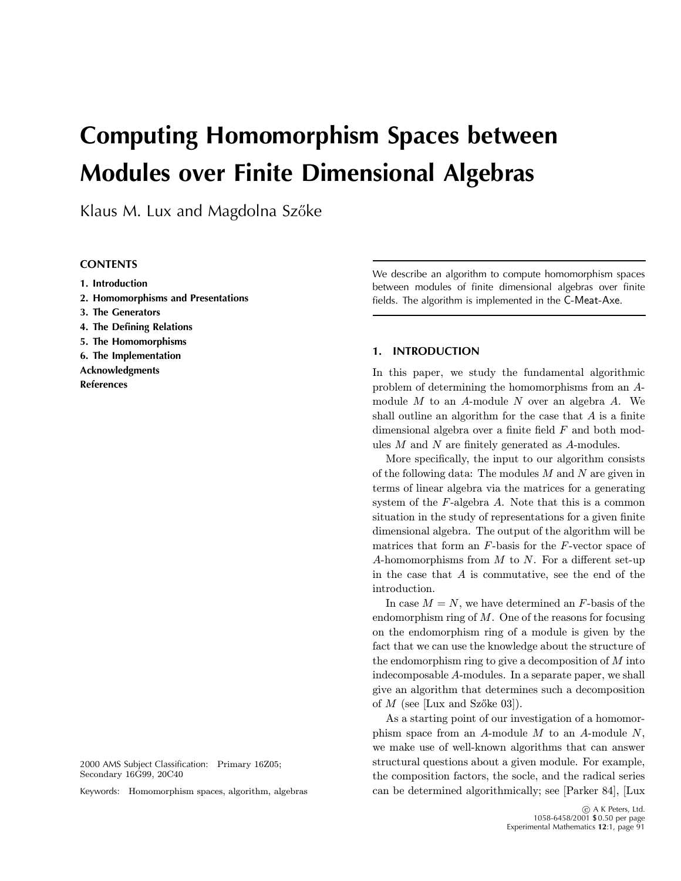# **Computing Homomorphism Spaces between Modules over Finite Dimensional Algebras**

Klaus M. Lux and Magdolna Szőke

## **CONTENTS**

- **1. Introduction**
- **2. Homomorphisms and Presentations**
- **3. The Generators**
- **4. The Defining Relations**
- **5. The Homomorphisms**
- **6. The Implementation**
- **Acknowledgments References**

2000 AMS Subject Classification: Primary 16Z05; Secondary 16G99, 20C40

Keywords: Homomorphism spaces, algorithm, algebras

We describe an algorithm to compute homomorphism spaces between modules of finite dimensional algebras over finite fields. The algorithm is implemented in the C-Meat-Axe.

## **1. INTRODUCTION**

In this paper, we study the fundamental algorithmic problem of determining the homomorphisms from an Amodule  $M$  to an  $A$ -module  $N$  over an algebra  $A$ . We shall outline an algorithm for the case that  $A$  is a finite dimensional algebra over a finite field  $F$  and both modules  $M$  and  $N$  are finitely generated as  $A$ -modules.

More specifically, the input to our algorithm consists of the following data: The modules  $M$  and  $N$  are given in terms of linear algebra via the matrices for a generating system of the  $F$ -algebra  $A$ . Note that this is a common situation in the study of representations for a given finite dimensional algebra. The output of the algorithm will be matrices that form an  $F$ -basis for the  $F$ -vector space of A-homomorphisms from  $M$  to  $N$ . For a different set-up in the case that  $A$  is commutative, see the end of the introduction.

In case  $M = N$ , we have determined an F-basis of the endomorphism ring of  $M$ . One of the reasons for focusing on the endomorphism ring of a module is given by the fact that we can use the knowledge about the structure of the endomorphism ring to give a decomposition of  $M$  into indecomposable A-modules. In a separate paper, we shall give an algorithm that determines such a decomposition of  $M$  (see [Lux and Szőke 03]).

As a starting point of our investigation of a homomorphism space from an  $A$ -module  $M$  to an  $A$ -module  $N$ , we make use of well-known algorithms that can answer structural questions about a given module. For example, the composition factors, the socle, and the radical series can be determined algorithmically; see [Parker 84], [Lux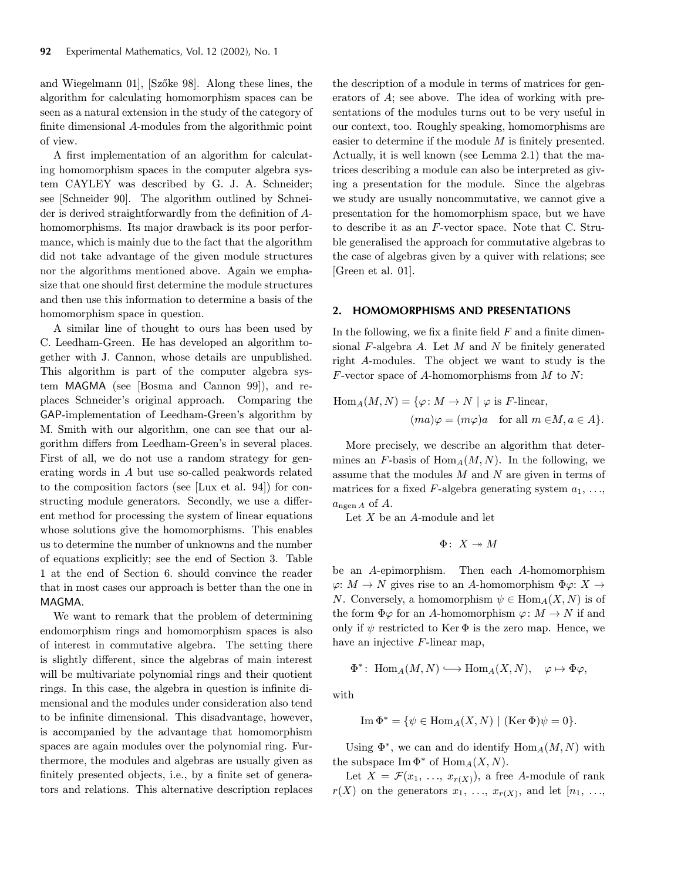and Wiegelmann 01, [Szőke 98]. Along these lines, the algorithm for calculating homomorphism spaces can be seen as a natural extension in the study of the category of finite dimensional A-modules from the algorithmic point of view.

A first implementation of an algorithm for calculating homomorphism spaces in the computer algebra system CAYLEY was described by G. J. A. Schneider; see [Schneider 90]. The algorithm outlined by Schneider is derived straightforwardly from the definition of Ahomomorphisms. Its major drawback is its poor performance, which is mainly due to the fact that the algorithm did not take advantage of the given module structures nor the algorithms mentioned above. Again we emphasize that one should first determine the module structures and then use this information to determine a basis of the homomorphism space in question.

A similar line of thought to ours has been used by C. Leedham-Green. He has developed an algorithm together with J. Cannon, whose details are unpublished. This algorithm is part of the computer algebra system MAGMA (see [Bosma and Cannon 99]), and replaces Schneider's original approach. Comparing the GAP-implementation of Leedham-Green's algorithm by M. Smith with our algorithm, one can see that our algorithm differs from Leedham-Green's in several places. First of all, we do not use a random strategy for generating words in A but use so-called peakwords related to the composition factors (see [Lux et al. 94]) for constructing module generators. Secondly, we use a different method for processing the system of linear equations whose solutions give the homomorphisms. This enables us to determine the number of unknowns and the number of equations explicitly; see the end of Section 3. Table 1 at the end of Section 6. should convince the reader that in most cases our approach is better than the one in MAGMA.

We want to remark that the problem of determining endomorphism rings and homomorphism spaces is also of interest in commutative algebra. The setting there is slightly different, since the algebras of main interest will be multivariate polynomial rings and their quotient rings. In this case, the algebra in question is infinite dimensional and the modules under consideration also tend to be infinite dimensional. This disadvantage, however, is accompanied by the advantage that homomorphism spaces are again modules over the polynomial ring. Furthermore, the modules and algebras are usually given as finitely presented objects, i.e., by a finite set of generators and relations. This alternative description replaces the description of a module in terms of matrices for generators of A; see above. The idea of working with presentations of the modules turns out to be very useful in our context, too. Roughly speaking, homomorphisms are easier to determine if the module  $M$  is finitely presented. Actually, it is well known (see Lemma 2.1) that the matrices describing a module can also be interpreted as giving a presentation for the module. Since the algebras we study are usually noncommutative, we cannot give a presentation for the homomorphism space, but we have to describe it as an F-vector space. Note that C. Struble generalised the approach for commutative algebras to the case of algebras given by a quiver with relations; see [Green et al. 01].

#### **2. HOMOMORPHISMS AND PRESENTATIONS**

In the following, we fix a finite field  $F$  and a finite dimensional  $F$ -algebra  $A$ . Let  $M$  and  $N$  be finitely generated right A-modules. The object we want to study is the F-vector space of A-homomorphisms from M to  $N$ :

$$
\text{Hom}_{A}(M, N) = \{ \varphi \colon M \to N \mid \varphi \text{ is } F\text{-linear},
$$

$$
(ma)\varphi = (m\varphi)a \quad \text{for all } m \in M, a \in A \}.
$$

More precisely, we describe an algorithm that determines an F-basis of  $\text{Hom}_A(M,N)$ . In the following, we assume that the modules  $M$  and  $N$  are given in terms of matrices for a fixed  $F$ -algebra generating system  $a_1, \ldots,$  $a_{\text{ngen }A}$  of A.

Let  $X$  be an  $A$ -module and let

$$
\Phi\colon\thinspace X\twoheadrightarrow M
$$

be an A-epimorphism. Then each A-homomorphism  $\varphi: M \to N$  gives rise to an A-homomorphism  $\Phi \varphi: X \to Y$ N. Conversely, a homomorphism  $\psi \in \text{Hom}_A(X, N)$  is of the form  $\Phi\varphi$  for an A-homomorphism  $\varphi: M \to N$  if and only if  $\psi$  restricted to Ker  $\Phi$  is the zero map. Hence, we have an injective F-linear map,

$$
\Phi^*\colon \operatorname{Hom}_A(M,N) \hookrightarrow \operatorname{Hom}_A(X,N), \quad \varphi \mapsto \Phi \varphi,
$$

with

Im 
$$
\Phi^* = {\psi \in Hom_A(X, N) | (Ker \Phi)\psi = 0}.
$$

Using  $\Phi^*$ , we can and do identify  $\text{Hom}_A(M,N)$  with the subspace  $\text{Im }\Phi^*$  of  $\text{Hom}_A(X, N)$ .

Let  $X = \mathcal{F}(x_1, \ldots, x_{r(X)})$ , a free A-module of rank  $r(X)$  on the generators  $x_1, \ldots, x_{r(X)}$ , and let  $[n_1, \ldots, n_k]$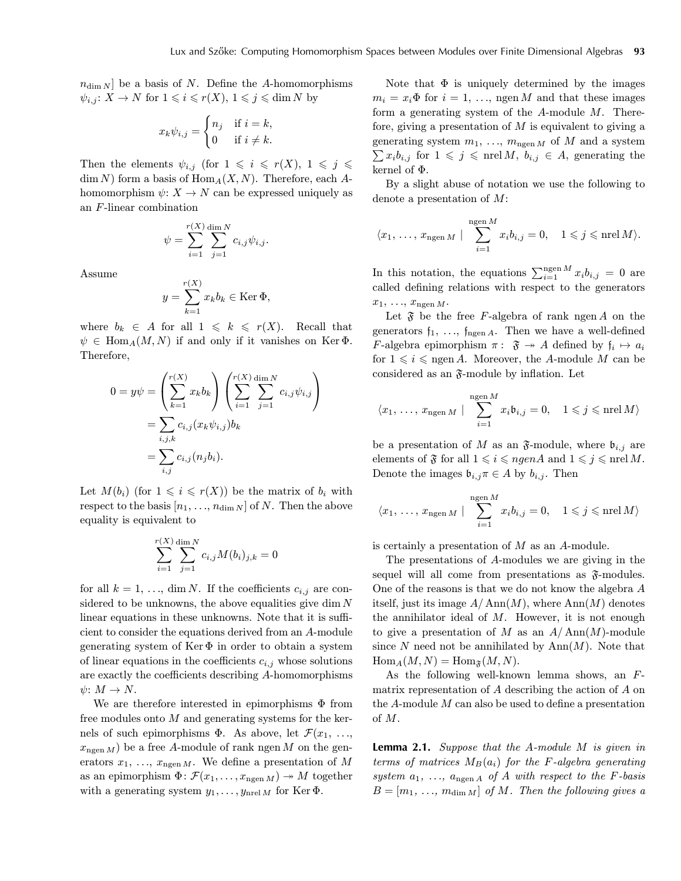$n_{\dim N}$  be a basis of N. Define the A-homomorphisms  $\psi_{i,j}$ :  $X \to N$  for  $1 \leqslant i \leqslant r(X)$ ,  $1 \leqslant j \leqslant \dim N$  by

$$
x_k \psi_{i,j} = \begin{cases} n_j & \text{if } i = k, \\ 0 & \text{if } i \neq k. \end{cases}
$$

Then the elements  $\psi_{i,j}$  (for  $1 \leq i \leq r(X), 1 \leq j \leq$  $\dim N$ ) form a basis of  $\text{Hom}_A(X, N)$ . Therefore, each Ahomomorphism  $\psi: X \to N$  can be expressed uniquely as an F-linear combination

$$
\psi = \sum_{i=1}^{r(X)} \sum_{j=1}^{\dim N} c_{i,j} \psi_{i,j}.
$$

Assume

$$
y = \sum_{k=1}^{r(X)} x_k b_k \in \text{Ker } \Phi,
$$

 $(\sqrt{2})$ 

where  $b_k \in A$  for all  $1 \leq k \leq r(X)$ . Recall that  $\psi \in \text{Hom}_{A}(M, N)$  if and only if it vanishes on Ker  $\Phi$ . Therefore,

$$
0 = y\psi = \left(\sum_{k=1}^{r(X)} x_k b_k\right) \left(\sum_{i=1}^{r(X)} \sum_{j=1}^{\dim N} c_{i,j} \psi_{i,j}\right)
$$
  
= 
$$
\sum_{i,j,k} c_{i,j} (x_k \psi_{i,j}) b_k
$$
  
= 
$$
\sum_{i,j} c_{i,j} (n_j b_i).
$$

Let  $M(b_i)$  (for  $1 \leq i \leq r(X)$ ) be the matrix of  $b_i$  with respect to the basis  $[n_1, \ldots, n_{\dim N}]$  of N. Then the above equality is equivalent to

$$
\sum_{i=1}^{r(X)} \sum_{j=1}^{\dim N} c_{i,j} M(b_i)_{j,k} = 0
$$

for all  $k = 1, \ldots, \dim N$ . If the coefficients  $c_{i,j}$  are considered to be unknowns, the above equalities give dim  $N$ linear equations in these unknowns. Note that it is sufficient to consider the equations derived from an A-module generating system of  $\text{Ker } \Phi$  in order to obtain a system of linear equations in the coefficients  $c_{i,j}$  whose solutions are exactly the coefficients describing A-homomorphisms  $\psi: M \to N$ .

We are therefore interested in epimorphisms  $\Phi$  from free modules onto  $M$  and generating systems for the kernels of such epimorphisms  $\Phi$ . As above, let  $\mathcal{F}(x_1, \ldots,$  $x_{\text{neen }M}$ ) be a free A-module of rank ngen M on the generators  $x_1, \ldots, x_{\text{ngen }M}$ . We define a presentation of M as an epimorphism  $\Phi \colon \mathcal{F}(x_1,\ldots,x_{\text{ngen }M}) \to M$  together with a generating system  $y_1, \ldots, y_{\text{nrel }M}$  for Ker  $\Phi$ .

Note that  $\Phi$  is uniquely determined by the images  $m_i = x_i \Phi$  for  $i = 1, \ldots$ , ngen M and that these images form a generating system of the  $A$ -module  $M$ . Therefore, giving a presentation of  $M$  is equivalent to giving a generating system  $m_1, \ldots, m_{\text{ngen }M}$  of M and a system  $\sum x_i b_{i,j}$  for  $1 \leqslant j \leqslant \text{nrel } M$ ,  $b_{i,j} \in A$ , generating the kernel of Φ.

By a slight abuse of notation we use the following to denote a presentation of M:

$$
\langle x_1, \ldots, x_{\text{ngen }M} \mid \sum_{i=1}^{\text{ngen }M} x_i b_{i,j} = 0, \quad 1 \leqslant j \leqslant \text{ner } M \rangle.
$$

In this notation, the equations  $\sum_{i=1}^{\text{ngen }M} x_i b_{i,j} = 0$  are called defining relations with respect to the generators  $x_1, \ldots, x_{\text{ngen }M}.$ 

Let  $\mathfrak F$  be the free F-algebra of rank ngen A on the generators  $f_1, \ldots, f_{ngen A}$ . Then we have a well-defined F-algebra epimorphism  $\pi: \mathfrak{F} \rightarrow A$  defined by  $\mathfrak{f}_i \mapsto a_i$ for  $1 \leq i \leq n$ gen A. Moreover, the A-module M can be considered as an  $\mathfrak{F}\text{-module}$  by inflation. Let

$$
\langle x_1, \ldots, x_{\text{ngen }M} | \sum_{i=1}^{\text{ngen }M} x_i \mathfrak{b}_{i,j} = 0, \quad 1 \leqslant j \leqslant \text{nrel }M \rangle
$$

be a presentation of M as an  $\mathfrak{F}\text{-module}$ , where  $\mathfrak{b}_{i,j}$  are elements of  $\mathfrak F$  for all  $1 \leqslant i \leqslant ngenA$  and  $1 \leqslant j \leqslant nrenM$ . Denote the images  $\mathfrak{b}_{i,j}\pi \in A$  by  $b_{i,j}$ . Then

$$
\langle x_1, \ldots, x_{\text{ngen }M} \mid \sum_{i=1}^{\text{ngen }M} x_i b_{i,j} = 0, \quad 1 \leqslant j \leqslant \text{ner } M \rangle
$$

is certainly a presentation of  $M$  as an  $A$ -module.

The presentations of A-modules we are giving in the sequel will all come from presentations as  $\mathfrak{F}\text{-modules.}$ One of the reasons is that we do not know the algebra A itself, just its image  $A/\text{Ann}(M)$ , where  $\text{Ann}(M)$  denotes the annihilator ideal of  $M$ . However, it is not enough to give a presentation of M as an  $A/\text{Ann}(M)$ -module since N need not be annihilated by  $\text{Ann}(M)$ . Note that  $\text{Hom}_A(M,N) = \text{Hom}_{\mathfrak{F}}(M,N).$ 

As the following well-known lemma shows, an Fmatrix representation of A describing the action of A on the A-module M can also be used to define a presentation of M.

**Lemma 2.1.** Suppose that the A-module M is given in terms of matrices  $M_B(a_i)$  for the F-algebra generating system  $a_1, \ldots, a_{\text{ngen }A}$  of A with respect to the F-basis  $B = [m_1, \ldots, m_{\dim M}]$  of M. Then the following gives a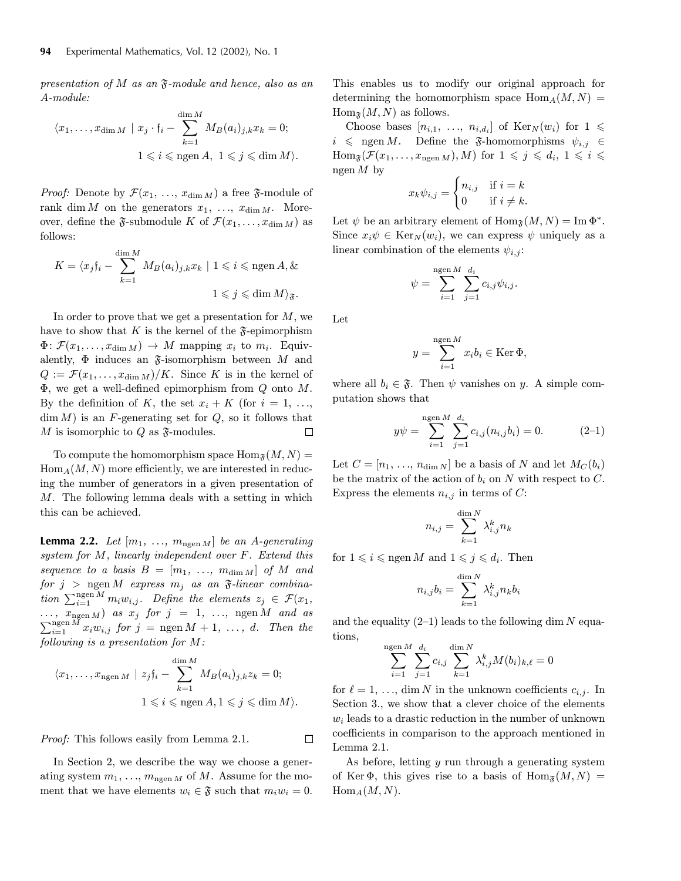presentation of M as an  $\mathfrak{F}\text{-module}$  and hence, also as an A-module:

$$
\langle x_1, \dots, x_{\dim M} \mid x_j \cdot \mathfrak{f}_i - \sum_{k=1}^{\dim M} M_B(a_i)_{j,k} x_k = 0;
$$
  

$$
1 \leqslant i \leqslant \text{ngen } A, \ 1 \leqslant j \leqslant \dim M \rangle.
$$

*Proof:* Denote by  $\mathcal{F}(x_1, \ldots, x_{\dim M})$  a free  $\mathfrak{F}$ -module of rank dim M on the generators  $x_1, \ldots, x_{\dim M}$ . Moreover, define the  $\mathfrak{F}\text{-submodule } K$  of  $\mathcal{F}(x_1,\ldots,x_{\dim M})$  as follows:

$$
K = \langle x_j f_i - \sum_{k=1}^{\dim M} M_B(a_i)_{j,k} x_k \mid 1 \leqslant i \leqslant \text{ngen } A, \&
$$
  

$$
1 \leqslant j \leqslant \dim M \rangle_{\mathfrak{F}}.
$$

In order to prove that we get a presentation for  $M$ , we have to show that K is the kernel of the  $\mathfrak F$ -epimorphism  $\Phi \colon \mathcal{F}(x_1,\ldots,x_{\dim M}) \to M$  mapping  $x_i$  to  $m_i$ . Equivalently,  $\Phi$  induces an  $\mathfrak F$ -isomorphism between M and  $Q := \mathcal{F}(x_1,\ldots,x_{\dim M})/K$ . Since K is in the kernel of  $\Phi$ , we get a well-defined epimorphism from  $Q$  onto  $M$ . By the definition of K, the set  $x_i + K$  (for  $i = 1, \ldots,$  $\dim M$ ) is an F-generating set for  $Q$ , so it follows that M is isomorphic to Q as  $\mathfrak{F}\text{-modules.}$ □

To compute the homomorphism space  $\text{Hom}_{\mathfrak{F}}(M,N) =$  $Hom_A(M, N)$  more efficiently, we are interested in reducing the number of generators in a given presentation of M. The following lemma deals with a setting in which this can be achieved.

**Lemma 2.2.** Let  $[m_1, \ldots, m_{ngen M}]$  be an A-generating system for M, linearly independent over F. Extend this sequence to a basis  $B = [m_1, ..., m_{\dim M}]$  of M and for  $j >$  ngen M express  $m_j$  as an  $\mathfrak{F}\text{-}linear$  combination  $\sum_{i=1}^{\text{ngen }M} m_i w_{i,j}$ . Define the elements  $z_j \in \mathcal{F}(x_1,$  $\dots, x_{\text{ngen }M}$  as  $x_j$  for  $j = 1, \dots, \text{ngen }M$  and as  $\sum_{i=1}^{\text{ngen }M} x_i w_{i,j}$  for  $j = \text{ngen }M + 1, \ldots, d$ . Then the following is a presentation for M:

$$
\langle x_1, \dots, x_{\text{ngen }M} \mid z_j \mathfrak{f}_i - \sum_{k=1}^{\dim M} M_B(a_i)_{j,k} z_k = 0;
$$
  

$$
1 \leq i \leq \text{ngen } A, 1 \leq j \leq \dim M \rangle.
$$

Proof: This follows easily from Lemma 2.1.

In Section 2, we describe the way we choose a generating system  $m_1, \ldots, m_{\text{ngen }M}$  of M. Assume for the moment that we have elements  $w_i \in \mathfrak{F}$  such that  $m_i w_i = 0$ .

This enables us to modify our original approach for determining the homomorphism space  $\text{Hom}_A(M,N) =$  $\text{Hom}_{\mathfrak{F}}(M,N)$  as follows.

Choose bases  $[n_{i,1}, \ldots, n_{i,d_i}]$  of  $\text{Ker}_N(w_i)$  for  $1 \leq$  $i \leq \text{ngen } M$ . Define the  $\mathfrak{F}\text{-homomorphisms } \psi_{i,j} \in$  $\text{Hom}_{\mathfrak{F}}(\mathcal{F}(x_1,\ldots,x_{\text{ngen }M}), M)$  for  $1 \leqslant j \leqslant d_i, 1 \leqslant i \leqslant n$ ngen  $M$  by

$$
x_k \psi_{i,j} = \begin{cases} n_{i,j} & \text{if } i = k \\ 0 & \text{if } i \neq k. \end{cases}
$$

Let  $\psi$  be an arbitrary element of  $\text{Hom}_{\mathfrak{F}}(M,N) = \text{Im }\Phi^*$ . Since  $x_i \psi \in \text{Ker}_N(w_i)$ , we can express  $\psi$  uniquely as a linear combination of the elements  $\psi_{i,j}$ :

$$
\psi = \sum_{i=1}^{\text{ngen }M} \sum_{j=1}^{d_i} c_{i,j} \psi_{i,j}.
$$

Let

$$
y = \sum_{i=1}^{\text{ngen }M} x_i b_i \in \text{Ker } \Phi,
$$

where all  $b_i \in \mathfrak{F}$ . Then  $\psi$  vanishes on y. A simple computation shows that

$$
y\psi = \sum_{i=1}^{\text{ngen }M} \sum_{j=1}^{d_i} c_{i,j}(n_{i,j}b_i) = 0.
$$
 (2-1)

Let  $C = [n_1, \ldots, n_{\dim N}]$  be a basis of N and let  $M_C(b_i)$ be the matrix of the action of  $b_i$  on N with respect to C. Express the elements  $n_{i,j}$  in terms of C:

$$
n_{i,j} = \sum_{k=1}^{\dim N} \lambda_{i,j}^k n_k
$$

for  $1 \leqslant i \leqslant n$  and  $1 \leqslant j \leqslant d_i$ . Then

$$
n_{i,j}b_i=\sum_{k=1}^{\dim N}\lambda_{i,j}^kn_kb_i
$$

and the equality  $(2-1)$  leads to the following dim N equations,

$$
\sum_{i=1}^{\text{ngen }M} \sum_{j=1}^{d_i} c_{i,j} \sum_{k=1}^{\dim N} \lambda_{i,j}^k M(b_i)_{k,\ell} = 0
$$

for  $\ell = 1, \ldots, \dim N$  in the unknown coefficients  $c_{i,j}$ . In Section 3., we show that a clever choice of the elements  $w<sub>i</sub>$  leads to a drastic reduction in the number of unknown coefficients in comparison to the approach mentioned in Lemma 2.1.

As before, letting y run through a generating system of Ker  $\Phi$ , this gives rise to a basis of  $\text{Hom}_{\mathfrak{F}}(M,N) =$  $\text{Hom}_A(M,N)$ .

 $\Box$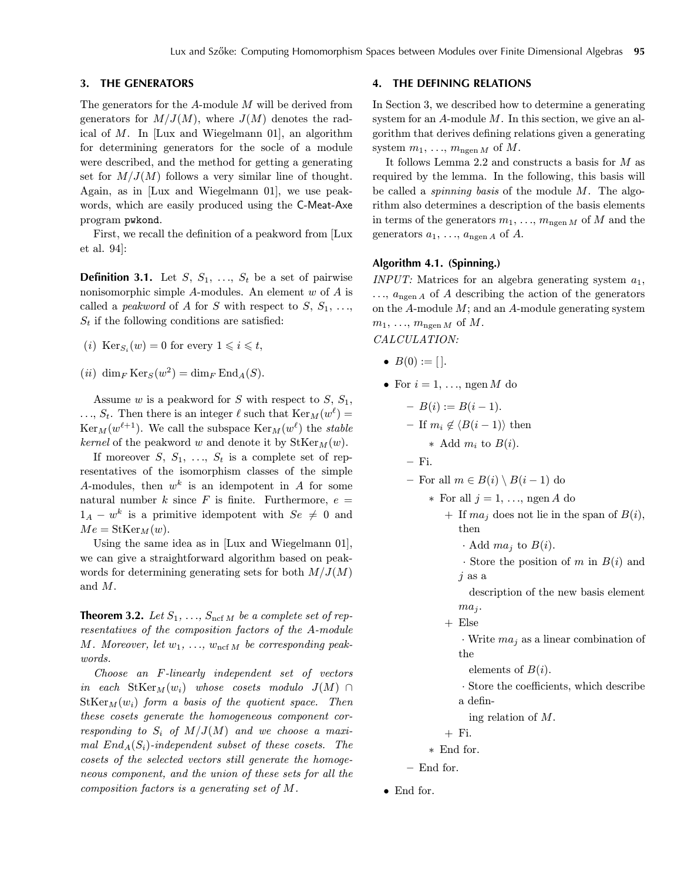## **3. THE GENERATORS**

The generators for the A-module M will be derived from generators for  $M/J(M)$ , where  $J(M)$  denotes the radical of  $M$ . In [Lux and Wiegelmann 01], an algorithm for determining generators for the socle of a module were described, and the method for getting a generating set for  $M/J(M)$  follows a very similar line of thought. Again, as in [Lux and Wiegelmann 01], we use peakwords, which are easily produced using the C-Meat-Axe program pwkond.

First, we recall the definition of a peakword from [Lux et al. 94]:

**Definition 3.1.** Let  $S$ ,  $S_1$ , ...,  $S_t$  be a set of pairwise nonisomorphic simple  $A$ -modules. An element  $w$  of  $A$  is called a *peakword* of A for S with respect to  $S, S_1, \ldots$ ,  $S_t$  if the following conditions are satisfied:

(i)  $\text{Ker}_{S_i}(w) = 0$  for every  $1 \leq i \leq t$ ,

(ii) dim<sub>F</sub> Ker<sub>S</sub> $(w^2)$  = dim<sub>F</sub> End<sub>A</sub>(S).

Assume w is a peakword for S with respect to  $S, S_1$ ,  $\ldots$ ,  $S_t$ . Then there is an integer  $\ell$  such that  $\text{Ker}_M(w^{\ell}) =$  $\text{Ker}_M(w^{\ell+1})$ . We call the subspace  $\text{Ker}_M(w^{\ell})$  the stable kernel of the peakword w and denote it by  $\text{StKer}_{M}(w)$ .

If moreover  $S, S_1, \ldots, S_t$  is a complete set of representatives of the isomorphism classes of the simple A-modules, then  $w^k$  is an idempotent in A for some natural number k since F is finite. Furthermore,  $e =$  $1_A - w^k$  is a primitive idempotent with  $Se \neq 0$  and  $Me = \text{StKer}_M(w).$ 

Using the same idea as in [Lux and Wiegelmann 01], we can give a straightforward algorithm based on peakwords for determining generating sets for both  $M/J(M)$ and M.

**Theorem 3.2.** Let  $S_1, \ldots, S_{\text{ncf }M}$  be a complete set of representatives of the composition factors of the A-module M. Moreover, let  $w_1, \ldots, w_{\text{ncf }M}$  be corresponding peakwords.

Choose an F-linearly independent set of vectors in each  $StKer_M(w_i)$  whose cosets modulo  $J(M) \cap$  $StKer_M(w_i)$  form a basis of the quotient space. Then these cosets generate the homogeneous component corresponding to  $S_i$  of  $M/J(M)$  and we choose a maximal  $End_A(S_i)$ -independent subset of these cosets. The cosets of the selected vectors still generate the homogeneous component, and the union of these sets for all the composition factors is a generating set of M.

## **4. THE DEFINING RELATIONS**

In Section 3, we described how to determine a generating system for an  $A$ -module  $M$ . In this section, we give an algorithm that derives defining relations given a generating system  $m_1, \ldots, m_{\text{ngen }M}$  of M.

It follows Lemma 2.2 and constructs a basis for  $M$  as required by the lemma. In the following, this basis will be called a *spinning basis* of the module  $M$ . The algorithm also determines a description of the basis elements in terms of the generators  $m_1, \ldots, m_{\text{ngen }M}$  of M and the generators  $a_1, \ldots, a_{ngen}$  of A.

## **Algorithm 4.1. (Spinning.)**

INPUT: Matrices for an algebra generating system  $a_1$ ,  $..., a_{ngen A}$  of A describing the action of the generators on the  $A$ -module  $M$ ; and an  $A$ -module generating system  $m_1, \ldots, m_{\text{ngen }M}$  of  $M$ . CALCULATION:

•  $B(0) := []$ .

• For 
$$
i = 1, \ldots
$$
,  $\text{ngen } M$  do

$$
- B(i) := B(i - 1).
$$
  
- If  $m_i \notin \langle B(i - 1) \rangle$  then

$$
\ast \ \mathrm{Add} \ m_i \ \mathrm{to} \ B(i).
$$

— Fi.

— For all  $m \in B(i) \setminus B(i-1)$  do

∗ For all j = 1, ..., ngen A do

+ If  $ma_i$  does not lie in the span of  $B(i)$ , then

 $\cdot$  Add *ma<sub>i</sub>* to  $B(i)$ .

 $\cdot$  Store the position of m in  $B(i)$  and  $j$  as a

description of the new basis element  $ma_i$ .

+ Else

 $\cdot$  Write  $ma_i$  as a linear combination of the

elements of  $B(i)$ .

- · Store the coefficients, which describe a defin-
- 
- ing relation of M.

```
+ Fi.
```
- ∗ End for.
- End for.
- End for.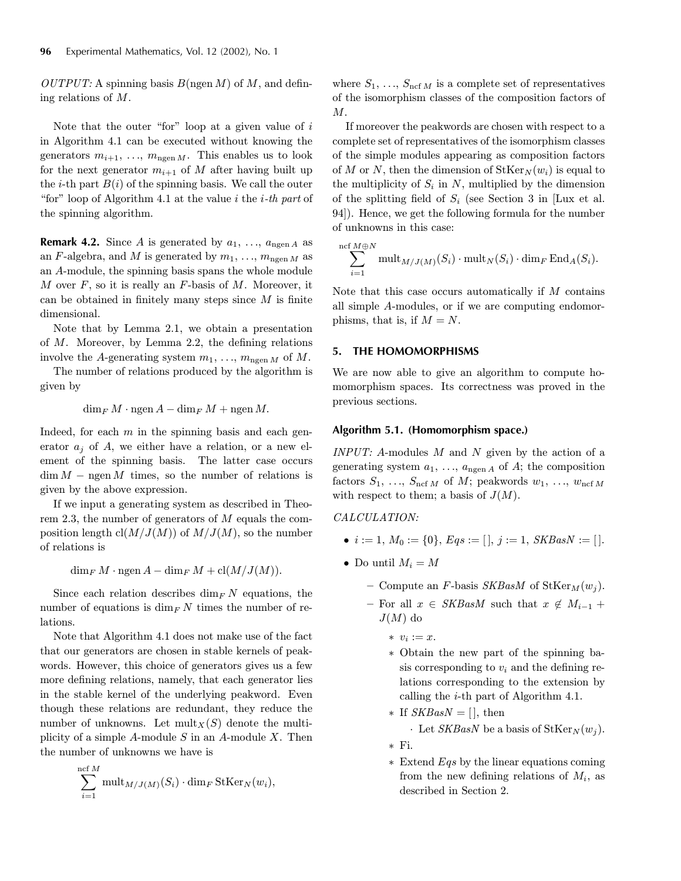OUTPUT: A spinning basis  $B(\text{ngen }M)$  of M, and defining relations of M.

Note that the outer "for" loop at a given value of  $i$ in Algorithm 4.1 can be executed without knowing the generators  $m_{i+1}, \ldots, m_{ngen M}$ . This enables us to look for the next generator  $m_{i+1}$  of M after having built up the *i*-th part  $B(i)$  of the spinning basis. We call the outer "for" loop of Algorithm 4.1 at the value  $i$  the  $i$ -th part of the spinning algorithm.

**Remark 4.2.** Since A is generated by  $a_1, \ldots, a_{n^{\text{gen}}}$  as an F-algebra, and M is generated by  $m_1, \ldots, m_{\text{ngen }M}$  as an A-module, the spinning basis spans the whole module M over  $F$ , so it is really an  $F$ -basis of M. Moreover, it can be obtained in finitely many steps since  $M$  is finite dimensional.

Note that by Lemma 2.1, we obtain a presentation of M. Moreover, by Lemma 2.2, the defining relations involve the A-generating system  $m_1, \ldots, m_{\text{ngen }M}$  of M.

The number of relations produced by the algorithm is given by

 $\dim_F M \cdot \operatorname{ngen} A - \dim_F M + \operatorname{ngen} M$ .

Indeed, for each  $m$  in the spinning basis and each generator  $a_i$  of A, we either have a relation, or a new element of the spinning basis. The latter case occurs  $\dim M$  – ngen M times, so the number of relations is given by the above expression.

If we input a generating system as described in Theorem 2.3, the number of generators of  $M$  equals the composition length  $cl(M/J(M))$  of  $M/J(M)$ , so the number of relations is

 $\dim_F M \cdot \operatorname{ngen} A - \dim_F M + \operatorname{cl}(M/J(M)).$ 

Since each relation describes  $\dim_F N$  equations, the number of equations is  $\dim$  K times the number of relations.

Note that Algorithm 4.1 does not make use of the fact that our generators are chosen in stable kernels of peakwords. However, this choice of generators gives us a few more defining relations, namely, that each generator lies in the stable kernel of the underlying peakword. Even though these relations are redundant, they reduce the number of unknowns. Let  $\text{mult}_X(S)$  denote the multiplicity of a simple A-module S in an A-module X. Then the number of unknowns we have is

$$
\sum_{i=1}^{\text{ncf }M} \text{mult}_{M/J(M)}(S_i) \cdot \dim_F \text{StKer}_N(w_i),
$$

where  $S_1, \ldots, S_{\text{ncf }M}$  is a complete set of representatives of the isomorphism classes of the composition factors of  $M$ .

If moreover the peakwords are chosen with respect to a complete set of representatives of the isomorphism classes of the simple modules appearing as composition factors of M or N, then the dimension of  $\text{StKer}_N(w_i)$  is equal to the multiplicity of  $S_i$  in N, multiplied by the dimension of the splitting field of  $S_i$  (see Section 3 in [Lux et al. 94]). Hence, we get the following formula for the number of unknowns in this case:

$$
\sum_{i=1}^{\text{ncf } M \oplus N} \text{mult}_{M/J(M)}(S_i) \cdot \text{mult}_N(S_i) \cdot \dim_F \text{End}_A(S_i).
$$

Note that this case occurs automatically if  $M$  contains all simple A-modules, or if we are computing endomorphisms, that is, if  $M = N$ .

## **5. THE HOMOMORPHISMS**

We are now able to give an algorithm to compute homomorphism spaces. Its correctness was proved in the previous sections.

## **Algorithm 5.1. (Homomorphism space.)**

INPUT: A-modules  $M$  and  $N$  given by the action of a generating system  $a_1, \ldots, a_{ngen A}$  of A; the composition factors  $S_1, \ldots, S_{\text{ncf }M}$  of  $M$ ; peakwords  $w_1, \ldots, w_{\text{ncf }M}$ with respect to them; a basis of  $J(M)$ .

CALCULATION:

- $i := 1, M_0 := \{0\}, Eqs := [ \cdot ] , j := 1, SKBasN := [ \cdot ].$
- Do until  $M_i = M$ 
	- Compute an F-basis SKBasM of StKer $_M(w_i)$ .
	- For all  $x \in SKB$ asM such that  $x \notin M_{i-1}$  +  $J(M)$  do
		- ∗ v<sup>i</sup> := x.
		- ∗ Obtain the new part of the spinning basis corresponding to  $v_i$  and the defining relations corresponding to the extension by calling the i-th part of Algorithm 4.1.
		- ∗ If  $SKBasN = []$ , then · Let SKBasN be a basis of  $StKer_N(w_i)$ .

∗ Fi.

∗ Extend Eqs by the linear equations coming from the new defining relations of  $M_i$ , as described in Section 2.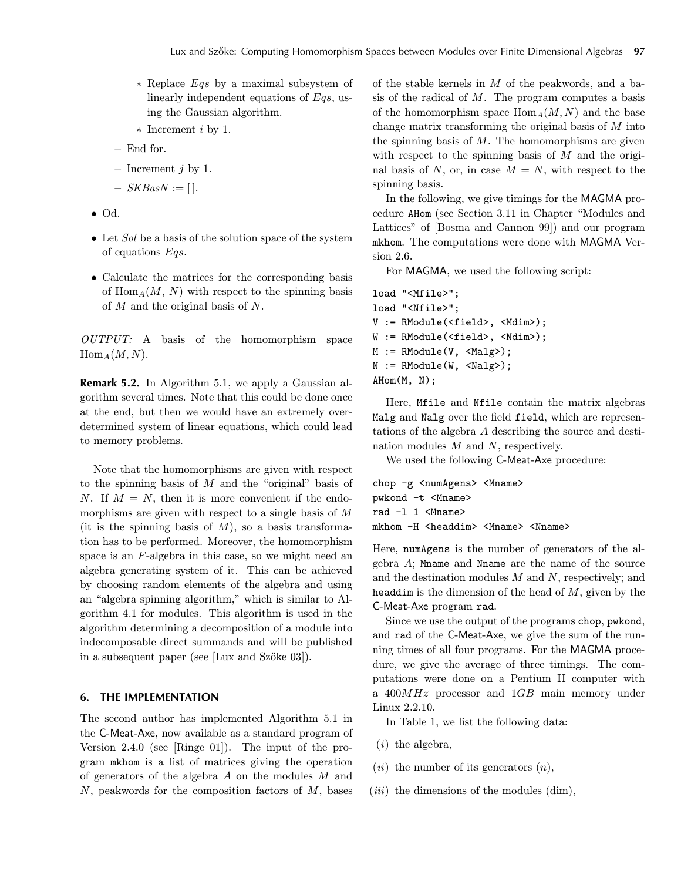- ∗ Replace Eqs by a maximal subsystem of linearly independent equations of Eqs, using the Gaussian algorithm.
- ∗ Increment i by 1.
- End for.
- Increment  $j$  by 1.
- $-$  SKBasN := [].
- Od.
- Let Sol be a basis of the solution space of the system of equations Eqs.
- Calculate the matrices for the corresponding basis of  $\text{Hom}_{A}(M, N)$  with respect to the spinning basis of  $M$  and the original basis of  $N$ .

OUTPUT: A basis of the homomorphism space  $Hom_A(M,N)$ .

**Remark 5.2.** In Algorithm 5.1, we apply a Gaussian algorithm several times. Note that this could be done once at the end, but then we would have an extremely overdetermined system of linear equations, which could lead to memory problems.

Note that the homomorphisms are given with respect to the spinning basis of  $M$  and the "original" basis of N. If  $M = N$ , then it is more convenient if the endomorphisms are given with respect to a single basis of  $M$ (it is the spinning basis of  $M$ ), so a basis transformation has to be performed. Moreover, the homomorphism space is an F-algebra in this case, so we might need an algebra generating system of it. This can be achieved by choosing random elements of the algebra and using an "algebra spinning algorithm," which is similar to Algorithm 4.1 for modules. This algorithm is used in the algorithm determining a decomposition of a module into indecomposable direct summands and will be published in a subsequent paper (see [Lux and Szőke 03]).

## **6. THE IMPLEMENTATION**

The second author has implemented Algorithm 5.1 in the C-Meat-Axe, now available as a standard program of Version 2.4.0 (see [Ringe 01]). The input of the program mkhom is a list of matrices giving the operation of generators of the algebra  $A$  on the modules  $M$  and  $N$ , peakwords for the composition factors of  $M$ , bases of the stable kernels in  $M$  of the peakwords, and a basis of the radical of  $M$ . The program computes a basis of the homomorphism space  $\text{Hom}_A(M,N)$  and the base change matrix transforming the original basis of M into the spinning basis of  $M$ . The homomorphisms are given with respect to the spinning basis of  $M$  and the original basis of N, or, in case  $M = N$ , with respect to the spinning basis.

In the following, we give timings for the MAGMA procedure AHom (see Section 3.11 in Chapter "Modules and Lattices" of [Bosma and Cannon 99]) and our program mkhom. The computations were done with MAGMA Version 2.6.

For MAGMA, we used the following script:

```
load "<Mfile>";
load "<Nfile>";
V := RModule(<field>, <Mdim>);
W := RModule(<field>, <Ndim>);
M := RModule(V, \langle Malg \rangle);N := RModule(W, <Nalg>);
AHom(M, N);
```
Here, Mfile and Nfile contain the matrix algebras Malg and Nalg over the field field, which are representations of the algebra A describing the source and destination modules  $M$  and  $N$ , respectively.

We used the following C-Meat-Axe procedure:

```
chop -g <numAgens> <Mname>
pwkond -t <Mname>
rad -1 1 <Mname>
mkhom -H <headdim> <Mname> <Nname>
```
Here, numAgens is the number of generators of the algebra  $A$ ; Mname and Nname are the name of the source and the destination modules  $M$  and  $N$ , respectively; and headdim is the dimension of the head of  $M$ , given by the C-Meat-Axe program rad.

Since we use the output of the programs chop, pwkond, and rad of the C-Meat-Axe, we give the sum of the running times of all four programs. For the MAGMA procedure, we give the average of three timings. The computations were done on a Pentium II computer with a  $400MHz$  processor and  $1GB$  main memory under Linux 2.2.10.

In Table 1, we list the following data:

- $(i)$  the algebra,
- (*ii*) the number of its generators  $(n)$ ,
- $(iii)$  the dimensions of the modules  $(\text{dim})$ ,